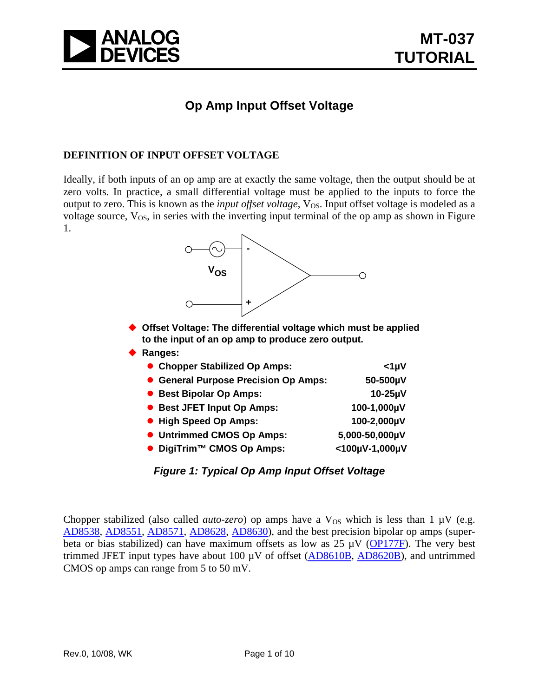

### **Op Amp Input Offset Voltage**

#### **DEFINITION OF INPUT OFFSET VOLTAGE**

Ideally, if both inputs of an op amp are at exactly the same voltage, then the output should be at zero volts. In practice, a small differential voltage must be applied to the inputs to force the output to zero. This is known as the *input offset voltage*, V<sub>OS</sub>. Input offset voltage is modeled as a voltage source,  $V_{OS}$ , in series with the inverting input terminal of the op amp as shown in Figure 1.



- **Offset Voltage: The differential voltage which must be applied to the input of an op amp to produce zero output.**
- **Ranges:**

| • Chopper Stabilized Op Amps:         | $<$ 1µV        |
|---------------------------------------|----------------|
| • General Purpose Precision Op Amps:  | 50-500µV       |
| • Best Bipolar Op Amps:               | $10-25\mu V$   |
| • Best JFET Input Op Amps:            | 100-1,000µV    |
| • High Speed Op Amps:                 | 100-2,000µV    |
| • Untrimmed CMOS Op Amps:             | 5,000-50,000µV |
| ● DigiTrim <sup>™</sup> CMOS Op Amps: | <100µV-1,000µV |

### *Figure 1: Typical Op Amp Input Offset Voltage*

Chopper stabilized (also called *auto-zero*) op amps have a  $V_{OS}$  which is less than 1  $\mu V$  (e.g. [AD8538](http://www.analog.com/en/prod/0,,759_786_AD8538%2C00.html), [AD8551](http://www.analog.com/en/prod/0,,759_786_AD8551%2C00.html), [AD8571,](http://www.analog.com/en/prod/0,,759_786_AD8571%2C00.html) [AD8628,](http://www.analog.com/en/prod/0,,759_786_AD8628%2C00.html) [AD8630](http://www.analog.com/en/prod/0,,759_786_AD8630%2C00.html)), and the best precision bipolar op amps (superbeta or bias stabilized) can have maximum offsets as low as  $25 \mu V$  [\(OP177F](http://www.analog.com/en/prod/0,,759_786_OP177%2C00.html)). The very best trimmed JFET input types have about 100  $\mu$ V of offset ( $\overline{AD8610B}$ ,  $\overline{AD8620B}$  $\overline{AD8620B}$  $\overline{AD8620B}$ ), and untrimmed CMOS op amps can range from 5 to 50 mV.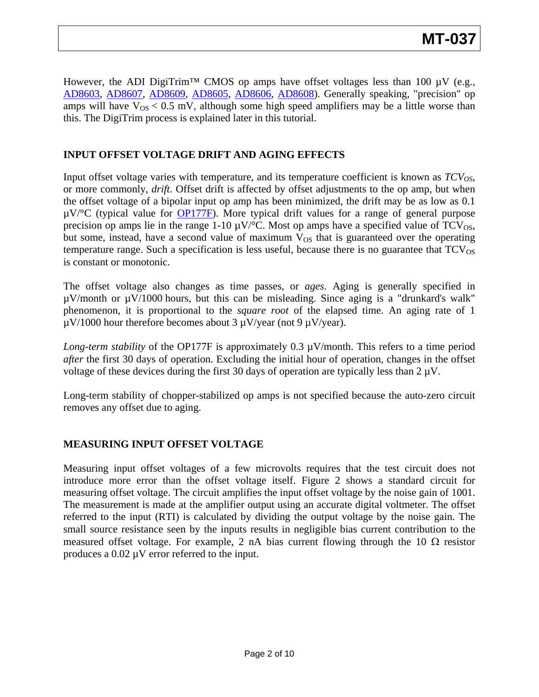However, the ADI DigiTrim<sup>™</sup> CMOS op amps have offset voltages less than 100  $\mu$ V (e.g., [AD8603](http://www.analog.com/en/prod/0,,759_786_AD8603%2C00.html), [AD8607](http://www.analog.com/en/prod/0,,759_786_AD8603%2C00.html), [AD8609,](http://www.analog.com/en/prod/0,,759_786_AD8603%2C00.html) [AD8605](http://www.analog.com/en/prod/0,,759_786_AD8605%2C00.html), [AD8606](http://www.analog.com/en/prod/0,,759_786_AD8605%2C00.html), [AD8608\)](http://www.analog.com/en/prod/0,,759_786_AD8605%2C00.html). Generally speaking, "precision" op amps will have  $V_{OS}$  < 0.5 mV, although some high speed amplifiers may be a little worse than this. The DigiTrim process is explained later in this tutorial.

### **INPUT OFFSET VOLTAGE DRIFT AND AGING EFFECTS**

Input offset voltage varies with temperature, and its temperature coefficient is known as  $TCV_{OS}$ , or more commonly, *drift*. Offset drift is affected by offset adjustments to the op amp, but when the offset voltage of a bipolar input op amp has been minimized, the drift may be as low as 0.1  $\mu$ V/°C (typical value for **[OP177F](http://www.analog.com/en/prod/0,,759_786_OP177%2C00.html)**). More typical drift values for a range of general purpose precision op amps lie in the range 1-10  $\mu$ V/°C. Most op amps have a specified value of TCV<sub>OS</sub>, but some, instead, have a second value of maximum  $V_{OS}$  that is guaranteed over the operating temperature range. Such a specification is less useful, because there is no guarantee that  $TCV_{OS}$ is constant or monotonic.

The offset voltage also changes as time passes, or *ages*. Aging is generally specified in µV/month or µV/1000 hours, but this can be misleading. Since aging is a "drunkard's walk" phenomenon, it is proportional to the *square root* of the elapsed time. An aging rate of 1  $\mu$ V/1000 hour therefore becomes about 3  $\mu$ V/year (not 9  $\mu$ V/year).

*Long-term stability* of the OP177F is approximately 0.3 µV/month. This refers to a time period *after* the first 30 days of operation. Excluding the initial hour of operation, changes in the offset voltage of these devices during the first 30 days of operation are typically less than  $2 \mu V$ .

Long-term stability of chopper-stabilized op amps is not specified because the auto-zero circuit removes any offset due to aging.

### **MEASURING INPUT OFFSET VOLTAGE**

Measuring input offset voltages of a few microvolts requires that the test circuit does not introduce more error than the offset voltage itself. Figure 2 shows a standard circuit for measuring offset voltage. The circuit amplifies the input offset voltage by the noise gain of 1001. The measurement is made at the amplifier output using an accurate digital voltmeter. The offset referred to the input (RTI) is calculated by dividing the output voltage by the noise gain. The small source resistance seen by the inputs results in negligible bias current contribution to the measured offset voltage. For example, 2 nA bias current flowing through the 10  $\Omega$  resistor produces a 0.02 µV error referred to the input.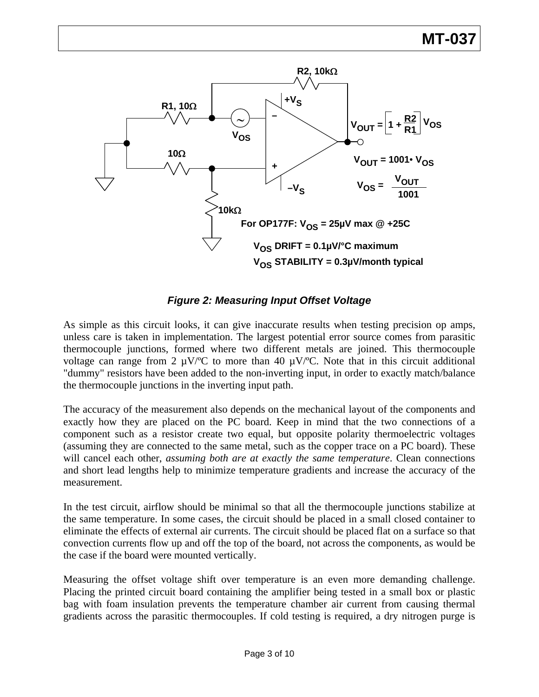## **MT-037**



*Figure 2: Measuring Input Offset Voltage* 

As simple as this circuit looks, it can give inaccurate results when testing precision op amps, unless care is taken in implementation. The largest potential error source comes from parasitic thermocouple junctions, formed where two different metals are joined. This thermocouple voltage can range from 2  $\mu$ V/°C to more than 40  $\mu$ V/°C. Note that in this circuit additional "dummy" resistors have been added to the non-inverting input, in order to exactly match/balance the thermocouple junctions in the inverting input path.

The accuracy of the measurement also depends on the mechanical layout of the components and exactly how they are placed on the PC board. Keep in mind that the two connections of a component such as a resistor create two equal, but opposite polarity thermoelectric voltages (assuming they are connected to the same metal, such as the copper trace on a PC board). These will cancel each other, *assuming both are at exactly the same temperature*. Clean connections and short lead lengths help to minimize temperature gradients and increase the accuracy of the measurement.

In the test circuit, airflow should be minimal so that all the thermocouple junctions stabilize at the same temperature. In some cases, the circuit should be placed in a small closed container to eliminate the effects of external air currents. The circuit should be placed flat on a surface so that convection currents flow up and off the top of the board, not across the components, as would be the case if the board were mounted vertically.

Measuring the offset voltage shift over temperature is an even more demanding challenge. Placing the printed circuit board containing the amplifier being tested in a small box or plastic bag with foam insulation prevents the temperature chamber air current from causing thermal gradients across the parasitic thermocouples. If cold testing is required, a dry nitrogen purge is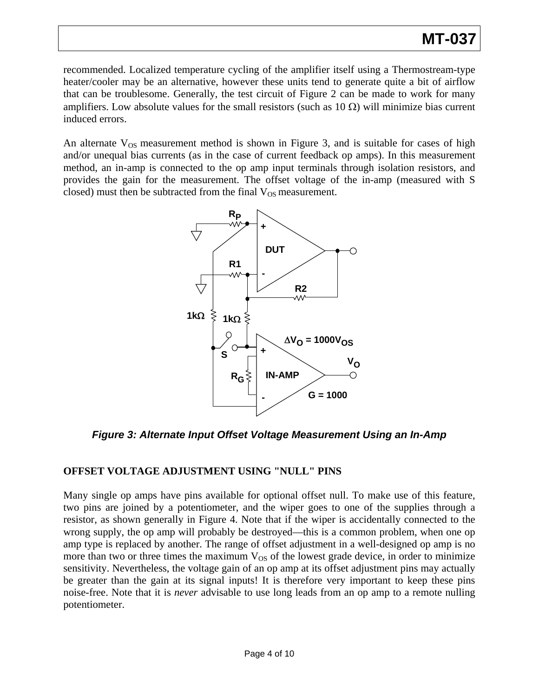recommended. Localized temperature cycling of the amplifier itself using a Thermostream-type heater/cooler may be an alternative, however these units tend to generate quite a bit of airflow that can be troublesome. Generally, the test circuit of Figure 2 can be made to work for many amplifiers. Low absolute values for the small resistors (such as  $10 \Omega$ ) will minimize bias current induced errors.

An alternate  $V_{OS}$  measurement method is shown in Figure 3, and is suitable for cases of high and/or unequal bias currents (as in the case of current feedback op amps). In this measurement method, an in-amp is connected to the op amp input terminals through isolation resistors, and provides the gain for the measurement. The offset voltage of the in-amp (measured with S closed) must then be subtracted from the final  $V_{OS}$  measurement.



*Figure 3: Alternate Input Offset Voltage Measurement Using an In-Amp* 

### **OFFSET VOLTAGE ADJUSTMENT USING "NULL" PINS**

Many single op amps have pins available for optional offset null. To make use of this feature, two pins are joined by a potentiometer, and the wiper goes to one of the supplies through a resistor, as shown generally in Figure 4. Note that if the wiper is accidentally connected to the wrong supply, the op amp will probably be destroyed—this is a common problem, when one op amp type is replaced by another. The range of offset adjustment in a well-designed op amp is no more than two or three times the maximum  $V_{OS}$  of the lowest grade device, in order to minimize sensitivity. Nevertheless, the voltage gain of an op amp at its offset adjustment pins may actually be greater than the gain at its signal inputs! It is therefore very important to keep these pins noise-free. Note that it is *never* advisable to use long leads from an op amp to a remote nulling potentiometer.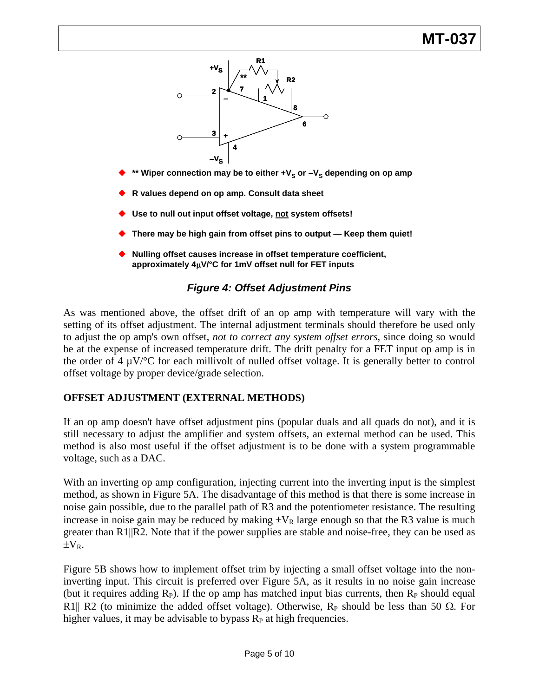# **MT-03**



٠ **R values depend on op amp. Consult data sheet**

 $\blacklozenge$ 

- ٠ **Use to null out input offset voltage, not system offsets!**
- ٠ **There may be high gain from offset pins to output — Keep them quiet!**
- ٠ **Nulling offset causes increase in offset temperature coefficient, approximately 4**μ**V/°C for 1mV offset null for FET inputs**

### *Figure 4: Offset Adjustment Pins*

As was mentioned above, the offset drift of an op amp with temperature will vary with the setting of its offset adjustment. The internal adjustment terminals should therefore be used only to adjust the op amp's own offset, *not to correct any system offset errors*, since doing so would be at the expense of increased temperature drift. The drift penalty for a FET input op amp is in the order of  $4 \mu V$ <sup>o</sup>C for each millivolt of nulled offset voltage. It is generally better to control offset voltage by proper device/grade selection.

### **OFFSET ADJUSTMENT (EXTERNAL METHODS)**

If an op amp doesn't have offset adjustment pins (popular duals and all quads do not), and it is still necessary to adjust the amplifier and system offsets, an external method can be used. This method is also most useful if the offset adjustment is to be done with a system programmable voltage, such as a DAC.

With an inverting op amp configuration, injecting current into the inverting input is the simplest method, as shown in Figure 5A. The disadvantage of this method is that there is some increase in noise gain possible, due to the parallel path of R3 and the potentiometer resistance. The resulting increase in noise gain may be reduced by making  $\pm V_R$  large enough so that the R3 value is much greater than R1||R2. Note that if the power supplies are stable and noise-free, they can be used as  $\pm V_R$ .

Figure 5B shows how to implement offset trim by injecting a small offset voltage into the noninverting input. This circuit is preferred over Figure 5A, as it results in no noise gain increase (but it requires adding  $R_P$ ). If the op amp has matched input bias currents, then  $R_P$  should equal R1|| R2 (to minimize the added offset voltage). Otherwise, R<sub>P</sub> should be less than 50  $\Omega$ . For higher values, it may be advisable to bypass  $R<sub>P</sub>$  at high frequencies.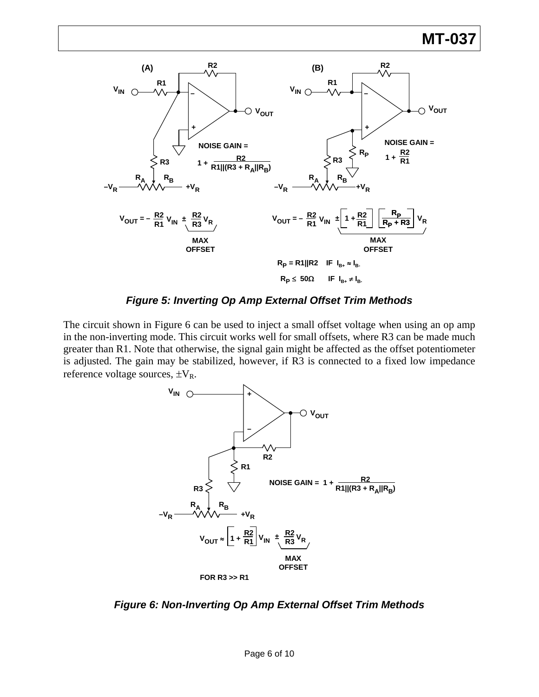

*Figure 5: Inverting Op Amp External Offset Trim Methods* 

The circuit shown in Figure 6 can be used to inject a small offset voltage when using an op amp in the non-inverting mode. This circuit works well for small offsets, where R3 can be made much greater than R1. Note that otherwise, the signal gain might be affected as the offset potentiometer is adjusted. The gain may be stabilized, however, if R3 is connected to a fixed low impedance reference voltage sources,  $\pm V_R$ .



*Figure 6: Non-Inverting Op Amp External Offset Trim Methods*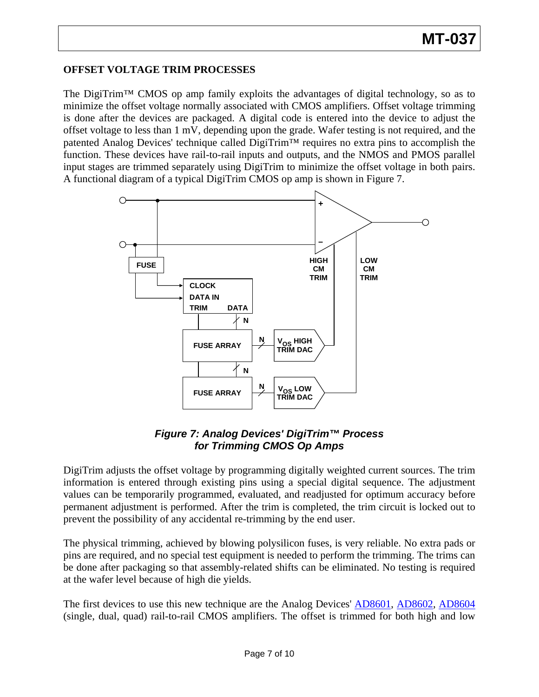### **OFFSET VOLTAGE TRIM PROCESSES**

The DigiTrim™ CMOS op amp family exploits the advantages of digital technology, so as to minimize the offset voltage normally associated with CMOS amplifiers. Offset voltage trimming is done after the devices are packaged. A digital code is entered into the device to adjust the offset voltage to less than 1 mV, depending upon the grade. Wafer testing is not required, and the patented Analog Devices' technique called DigiTrim™ requires no extra pins to accomplish the function. These devices have rail-to-rail inputs and outputs, and the NMOS and PMOS parallel input stages are trimmed separately using DigiTrim to minimize the offset voltage in both pairs. A functional diagram of a typical DigiTrim CMOS op amp is shown in Figure 7.



### *Figure 7: Analog Devices' DigiTrim™ Process for Trimming CMOS Op Amps*

DigiTrim adjusts the offset voltage by programming digitally weighted current sources. The trim information is entered through existing pins using a special digital sequence. The adjustment values can be temporarily programmed, evaluated, and readjusted for optimum accuracy before permanent adjustment is performed. After the trim is completed, the trim circuit is locked out to prevent the possibility of any accidental re-trimming by the end user.

The physical trimming, achieved by blowing polysilicon fuses, is very reliable. No extra pads or pins are required, and no special test equipment is needed to perform the trimming. The trims can be done after packaging so that assembly-related shifts can be eliminated. No testing is required at the wafer level because of high die yields.

The first devices to use this new technique are the Analog Devices' [AD8601](http://www.analog.com/en/prod/0%2C2877%2CAD8601%2C00.html), [AD8602](http://www.analog.com/en/prod/0%2C2877%2CAD8601%2C00.html), [AD8604](http://www.analog.com/en/prod/0%2C2877%2CAD8601%2C00.html)  (single, dual, quad) rail-to-rail CMOS amplifiers. The offset is trimmed for both high and low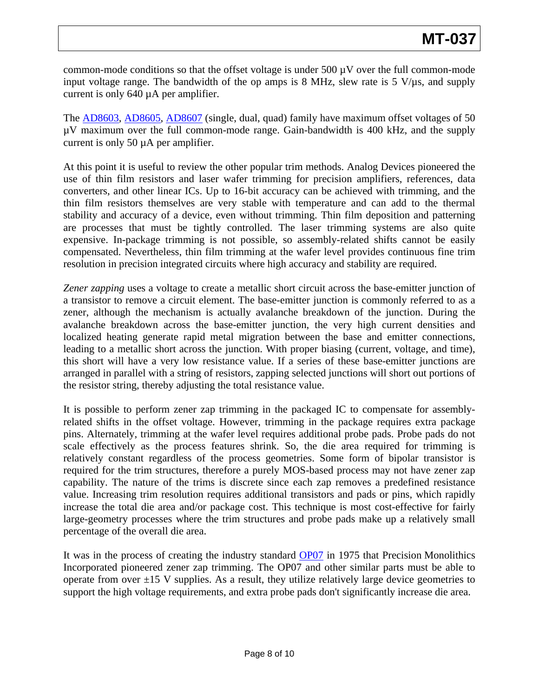common-mode conditions so that the offset voltage is under  $500 \mu$ V over the full common-mode input voltage range. The bandwidth of the op amps is 8 MHz, slew rate is  $5 \text{ V/}\mu\text{s}$ , and supply current is only 640 µA per amplifier.

The [AD8603](http://www.analog.com/en/prod/0,,759_786_AD8603%2C00.html), [AD8605,](http://www.analog.com/en/prod/0,,759_786_AD8603%2C00.html) [AD8607](http://www.analog.com/en/prod/0,,759_786_AD8603%2C00.html) (single, dual, quad) family have maximum offset voltages of 50 µV maximum over the full common-mode range. Gain-bandwidth is 400 kHz, and the supply current is only 50 µA per amplifier.

At this point it is useful to review the other popular trim methods. Analog Devices pioneered the use of thin film resistors and laser wafer trimming for precision amplifiers, references, data converters, and other linear ICs. Up to 16-bit accuracy can be achieved with trimming, and the thin film resistors themselves are very stable with temperature and can add to the thermal stability and accuracy of a device, even without trimming. Thin film deposition and patterning are processes that must be tightly controlled. The laser trimming systems are also quite expensive. In-package trimming is not possible, so assembly-related shifts cannot be easily compensated. Nevertheless, thin film trimming at the wafer level provides continuous fine trim resolution in precision integrated circuits where high accuracy and stability are required.

*Zener zapping* uses a voltage to create a metallic short circuit across the base-emitter junction of a transistor to remove a circuit element. The base-emitter junction is commonly referred to as a zener, although the mechanism is actually avalanche breakdown of the junction. During the avalanche breakdown across the base-emitter junction, the very high current densities and localized heating generate rapid metal migration between the base and emitter connections, leading to a metallic short across the junction. With proper biasing (current, voltage, and time), this short will have a very low resistance value. If a series of these base-emitter junctions are arranged in parallel with a string of resistors, zapping selected junctions will short out portions of the resistor string, thereby adjusting the total resistance value.

It is possible to perform zener zap trimming in the packaged IC to compensate for assemblyrelated shifts in the offset voltage. However, trimming in the package requires extra package pins. Alternately, trimming at the wafer level requires additional probe pads. Probe pads do not scale effectively as the process features shrink. So, the die area required for trimming is relatively constant regardless of the process geometries. Some form of bipolar transistor is required for the trim structures, therefore a purely MOS-based process may not have zener zap capability. The nature of the trims is discrete since each zap removes a predefined resistance value. Increasing trim resolution requires additional transistors and pads or pins, which rapidly increase the total die area and/or package cost. This technique is most cost-effective for fairly large-geometry processes where the trim structures and probe pads make up a relatively small percentage of the overall die area.

It was in the process of creating the industry standard [OP07](http://www.analog.com/en/amplifiers-and-comparators/operational-amplifiers-op-amps/op07/products/product.html) in 1975 that Precision Monolithics Incorporated pioneered zener zap trimming. The OP07 and other similar parts must be able to operate from over  $\pm 15$  V supplies. As a result, they utilize relatively large device geometries to support the high voltage requirements, and extra probe pads don't significantly increase die area.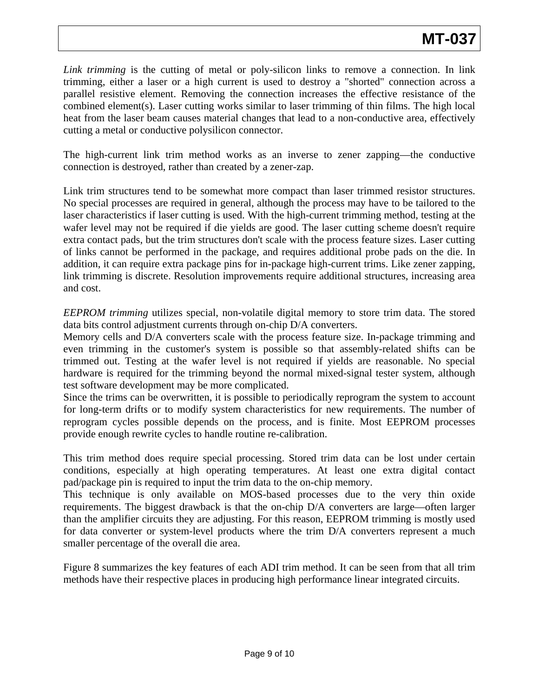*Link trimming* is the cutting of metal or poly-silicon links to remove a connection. In link trimming, either a laser or a high current is used to destroy a "shorted" connection across a parallel resistive element. Removing the connection increases the effective resistance of the combined element(s). Laser cutting works similar to laser trimming of thin films. The high local heat from the laser beam causes material changes that lead to a non-conductive area, effectively cutting a metal or conductive polysilicon connector.

The high-current link trim method works as an inverse to zener zapping—the conductive connection is destroyed, rather than created by a zener-zap.

Link trim structures tend to be somewhat more compact than laser trimmed resistor structures. No special processes are required in general, although the process may have to be tailored to the laser characteristics if laser cutting is used. With the high-current trimming method, testing at the wafer level may not be required if die yields are good. The laser cutting scheme doesn't require extra contact pads, but the trim structures don't scale with the process feature sizes. Laser cutting of links cannot be performed in the package, and requires additional probe pads on the die. In addition, it can require extra package pins for in-package high-current trims. Like zener zapping, link trimming is discrete. Resolution improvements require additional structures, increasing area and cost.

*EEPROM trimming* utilizes special, non-volatile digital memory to store trim data. The stored data bits control adjustment currents through on-chip D/A converters.

Memory cells and D/A converters scale with the process feature size. In-package trimming and even trimming in the customer's system is possible so that assembly-related shifts can be trimmed out. Testing at the wafer level is not required if yields are reasonable. No special hardware is required for the trimming beyond the normal mixed-signal tester system, although test software development may be more complicated.

Since the trims can be overwritten, it is possible to periodically reprogram the system to account for long-term drifts or to modify system characteristics for new requirements. The number of reprogram cycles possible depends on the process, and is finite. Most EEPROM processes provide enough rewrite cycles to handle routine re-calibration.

This trim method does require special processing. Stored trim data can be lost under certain conditions, especially at high operating temperatures. At least one extra digital contact pad/package pin is required to input the trim data to the on-chip memory.

This technique is only available on MOS-based processes due to the very thin oxide requirements. The biggest drawback is that the on-chip D/A converters are large—often larger than the amplifier circuits they are adjusting. For this reason, EEPROM trimming is mostly used for data converter or system-level products where the trim D/A converters represent a much smaller percentage of the overall die area.

Figure 8 summarizes the key features of each ADI trim method. It can be seen from that all trim methods have their respective places in producing high performance linear integrated circuits.